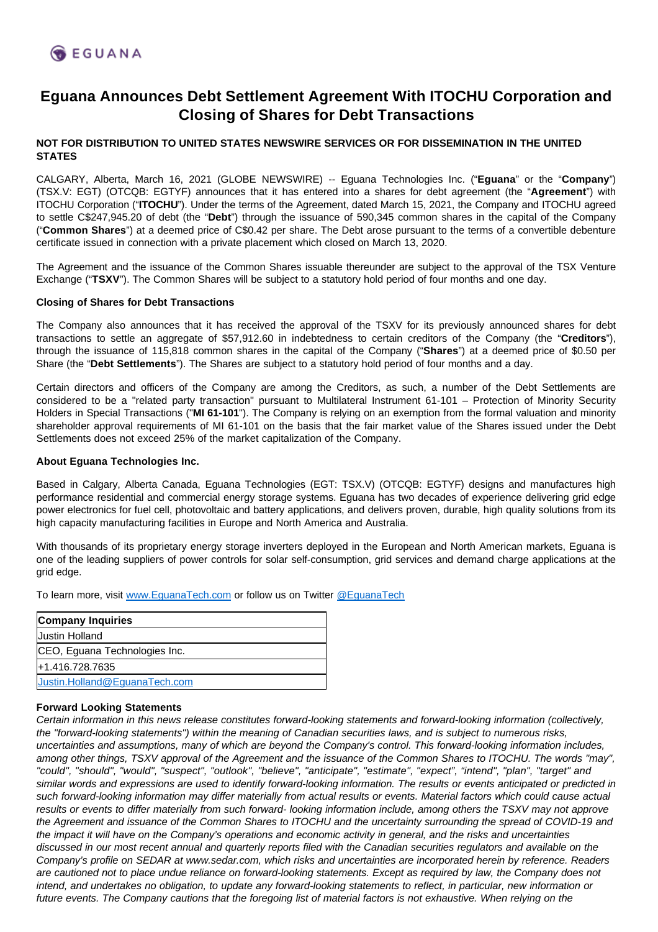

# **Eguana Announces Debt Settlement Agreement With ITOCHU Corporation and Closing of Shares for Debt Transactions**

## **NOT FOR DISTRIBUTION TO UNITED STATES NEWSWIRE SERVICES OR FOR DISSEMINATION IN THE UNITED STATES**

CALGARY, Alberta, March 16, 2021 (GLOBE NEWSWIRE) -- Eguana Technologies Inc. ("**Eguana**" or the "**Company**") (TSX.V: EGT) (OTCQB: EGTYF) announces that it has entered into a shares for debt agreement (the "**Agreement**") with ITOCHU Corporation ("**ITOCHU**"). Under the terms of the Agreement, dated March 15, 2021, the Company and ITOCHU agreed to settle C\$247,945.20 of debt (the "**Debt**") through the issuance of 590,345 common shares in the capital of the Company ("**Common Shares**") at a deemed price of C\$0.42 per share. The Debt arose pursuant to the terms of a convertible debenture certificate issued in connection with a private placement which closed on March 13, 2020.

The Agreement and the issuance of the Common Shares issuable thereunder are subject to the approval of the TSX Venture Exchange ("**TSXV**"). The Common Shares will be subject to a statutory hold period of four months and one day.

### **Closing of Shares for Debt Transactions**

The Company also announces that it has received the approval of the TSXV for its previously announced shares for debt transactions to settle an aggregate of \$57,912.60 in indebtedness to certain creditors of the Company (the "**Creditors**"), through the issuance of 115,818 common shares in the capital of the Company ("**Shares**") at a deemed price of \$0.50 per Share (the "**Debt Settlements**"). The Shares are subject to a statutory hold period of four months and a day.

Certain directors and officers of the Company are among the Creditors, as such, a number of the Debt Settlements are considered to be a "related party transaction" pursuant to Multilateral Instrument 61-101 – Protection of Minority Security Holders in Special Transactions ("**MI 61-101**"). The Company is relying on an exemption from the formal valuation and minority shareholder approval requirements of MI 61-101 on the basis that the fair market value of the Shares issued under the Debt Settlements does not exceed 25% of the market capitalization of the Company.

### **About Eguana Technologies Inc.**

Based in Calgary, Alberta Canada, Eguana Technologies (EGT: TSX.V) (OTCQB: EGTYF) designs and manufactures high performance residential and commercial energy storage systems. Eguana has two decades of experience delivering grid edge power electronics for fuel cell, photovoltaic and battery applications, and delivers proven, durable, high quality solutions from its high capacity manufacturing facilities in Europe and North America and Australia.

With thousands of its proprietary energy storage inverters deployed in the European and North American markets, Eguana is one of the leading suppliers of power controls for solar self-consumption, grid services and demand charge applications at the grid edge.

To learn more, visit [www.EguanaTech.com](http://www.eguanatech.com/) or follow us on Twitter [@EguanaTech](https://twitter.com/EguanaTech)

| <b>Company Inquiries</b>      |
|-------------------------------|
| <b>Justin Holland</b>         |
| CEO, Eguana Technologies Inc. |
| l+1.416.728.7635              |
| Justin.Holland@EguanaTech.com |

### **Forward Looking Statements**

Certain information in this news release constitutes forward-looking statements and forward-looking information (collectively, the "forward-looking statements") within the meaning of Canadian securities laws, and is subject to numerous risks, uncertainties and assumptions, many of which are beyond the Company's control. This forward-looking information includes, among other things, TSXV approval of the Agreement and the issuance of the Common Shares to ITOCHU. The words "may", "could", "should", "would", "suspect", "outlook", "believe", "anticipate", "estimate", "expect", "intend", "plan", "target" and similar words and expressions are used to identify forward-looking information. The results or events anticipated or predicted in such forward-looking information may differ materially from actual results or events. Material factors which could cause actual results or events to differ materially from such forward- looking information include, among others the TSXV may not approve the Agreement and issuance of the Common Shares to ITOCHU and the uncertainty surrounding the spread of COVID-19 and the impact it will have on the Company's operations and economic activity in general, and the risks and uncertainties discussed in our most recent annual and quarterly reports filed with the Canadian securities regulators and available on the Company's profile on SEDAR at www.sedar.com, which risks and uncertainties are incorporated herein by reference. Readers are cautioned not to place undue reliance on forward-looking statements. Except as required by law, the Company does not intend, and undertakes no obligation, to update any forward-looking statements to reflect, in particular, new information or future events. The Company cautions that the foregoing list of material factors is not exhaustive. When relying on the